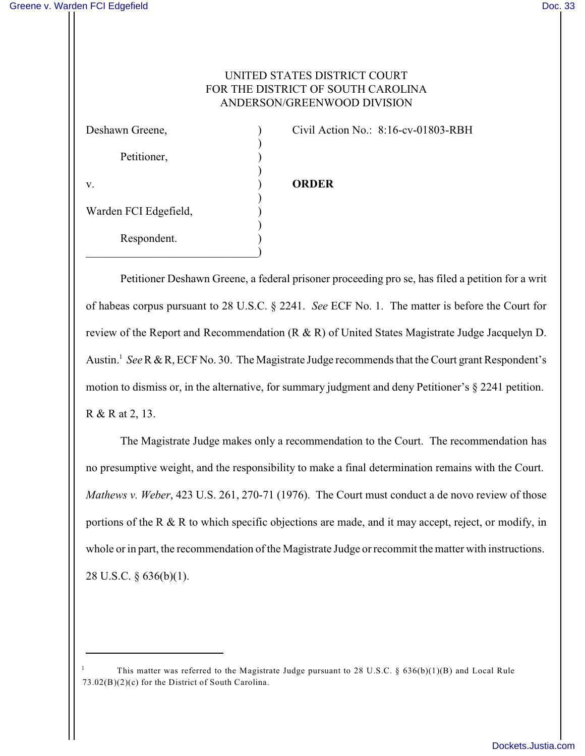## UNITED STATES DISTRICT COURT FOR THE DISTRICT OF SOUTH CAROLINA ANDERSON/GREENWOOD DIVISION

| Deshawn Greene,       |  |
|-----------------------|--|
|                       |  |
| Petitioner,           |  |
| v.                    |  |
|                       |  |
| Warden FCI Edgefield, |  |
|                       |  |
| Respondent.           |  |
|                       |  |

Civil Action No.:  $8:16$ -cv-01803-RBH

## v. ) **ORDER**

Petitioner Deshawn Greene, a federal prisoner proceeding pro se, has filed a petition for a writ of habeas corpus pursuant to 28 U.S.C. § 2241. *See* ECF No. 1. The matter is before the Court for review of the Report and Recommendation (R & R) of United States Magistrate Judge Jacquelyn D. Austin.<sup>1</sup> See R & R, ECF No. 30. The Magistrate Judge recommends that the Court grant Respondent's motion to dismiss or, in the alternative, for summary judgment and deny Petitioner's § 2241 petition. R & R at 2, 13.

The Magistrate Judge makes only a recommendation to the Court. The recommendation has no presumptive weight, and the responsibility to make a final determination remains with the Court. *Mathews v. Weber*, 423 U.S. 261, 270-71 (1976). The Court must conduct a de novo review of those portions of the R & R to which specific objections are made, and it may accept, reject, or modify, in whole or in part, the recommendation of the Magistrate Judge or recommit the matter with instructions. 28 U.S.C. § 636(b)(1).

This matter was referred to the Magistrate Judge pursuant to 28 U.S.C. §  $636(b)(1)(B)$  and Local Rule 73.02(B)(2)(c) for the District of South Carolina.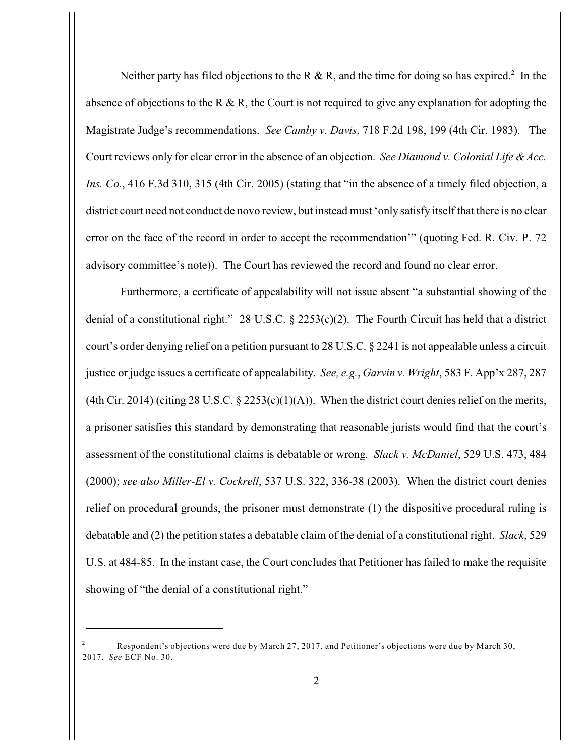Neither party has filed objections to the R & R, and the time for doing so has expired.<sup>2</sup> In the absence of objections to the R & R, the Court is not required to give any explanation for adopting the Magistrate Judge's recommendations. *See Camby v. Davis*, 718 F.2d 198, 199 (4th Cir. 1983). The Court reviews only for clear error in the absence of an objection. *See Diamond v. Colonial Life & Acc. Ins. Co.*, 416 F.3d 310, 315 (4th Cir. 2005) (stating that "in the absence of a timely filed objection, a district court need not conduct de novo review, but instead must 'only satisfy itself that there is no clear error on the face of the record in order to accept the recommendation'" (quoting Fed. R. Civ. P. 72 advisory committee's note)). The Court has reviewed the record and found no clear error.

Furthermore, a certificate of appealability will not issue absent "a substantial showing of the denial of a constitutional right." 28 U.S.C. § 2253(c)(2). The Fourth Circuit has held that a district court's order denying relief on a petition pursuant to 28 U.S.C. § 2241 is not appealable unless a circuit justice or judge issues a certificate of appealability. *See, e.g.*, *Garvin v. Wright*, 583 F. App'x 287, 287 (4th Cir. 2014) (citing 28 U.S.C.  $\S$  2253(c)(1)(A)). When the district court denies relief on the merits, a prisoner satisfies this standard by demonstrating that reasonable jurists would find that the court's assessment of the constitutional claims is debatable or wrong. *Slack v. McDaniel*, 529 U.S. 473, 484 (2000); *see also Miller-El v. Cockrell*, 537 U.S. 322, 336-38 (2003). When the district court denies relief on procedural grounds, the prisoner must demonstrate (1) the dispositive procedural ruling is debatable and (2) the petition states a debatable claim of the denial of a constitutional right. *Slack*, 529 U.S. at 484-85. In the instant case, the Court concludes that Petitioner has failed to make the requisite showing of "the denial of a constitutional right."

Respondent's objections were due by March 27, 2017, and Petitioner's objections were due by March 30, <sup>2</sup> 2017. *See* ECF No. 30.